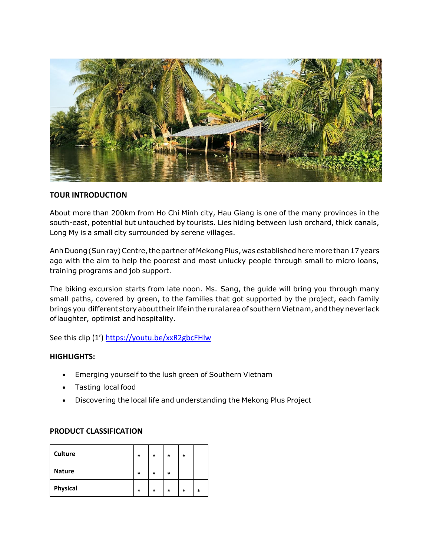

# **TOUR INTRODUCTION**

About more than 200km from Ho Chi Minh city, Hau Giang is one of the many provinces in the south-east, potential but untouched by tourists. Lies hiding between lush orchard, thick canals, Long My is a small city surrounded by serene villages.

Anh Duong (Sun ray) Centre, the partner of Mekong Plus, was established here more than 17 years ago with the aim to help the poorest and most unlucky people through small to micro loans, training programs and job support.

The biking excursion starts from late noon. Ms. Sang, the guide will bring you through many small paths, covered by green, to the families that got supported by the project, each family brings you different story about their life in the rural area of southern Vietnam, and they never lack oflaughter, optimist and hospitality.

See this clip (1') <https://youtu.be/xxR2gbcFHlw>

## **HIGHLIGHTS:**

- Emerging yourself to the lush green of Southern Vietnam
- Tasting local food
- Discovering the local life and understanding the Mekong Plus Project

## **PRODUCT CLASSIFICATION**

| <b>Culture</b> | * | $\ast$ | *      | $\ast$ |        |
|----------------|---|--------|--------|--------|--------|
| <b>Nature</b>  | * | $\ast$ | $\ast$ |        |        |
| Physical       | * | *      | *      | *      | $\ast$ |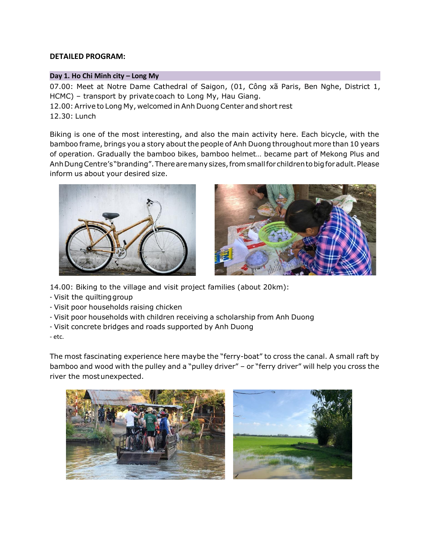# **DETAILED PROGRAM:**

### **Day 1. Ho Chi Minh city – Long My**

07.00: Meet at Notre Dame Cathedral of Saigon, (01, Công xã Paris, Ben Nghe, District 1, HCMC) – transport by privatecoach to Long My, Hau Giang. 12.00: Arrive to Long My, welcomed in Anh Duong Center and short rest 12.30: Lunch

Biking is one of the most interesting, and also the main activity here. Each bicycle, with the bamboo frame, brings you a story about the people of Anh Duong throughout more than 10 years of operation. Gradually the bamboo bikes, bamboo helmet… became part of Mekong Plus and Anh Dung Centre's "branding". There are many sizes, from small for children to big for adult. Please inform us about your desired size.





14.00: Biking to the village and visit project families (about 20km):

- Visit the quiltinggroup
- Visit poor households raising chicken
- Visit poor households with children receiving a scholarship from Anh Duong
- Visit concrete bridges and roads supported by Anh Duong

- etc.

The most fascinating experience here maybe the "ferry-boat" to cross the canal. A small raft by bamboo and wood with the pulley and a "pulley driver" – or "ferry driver" will help you cross the river the mostunexpected.

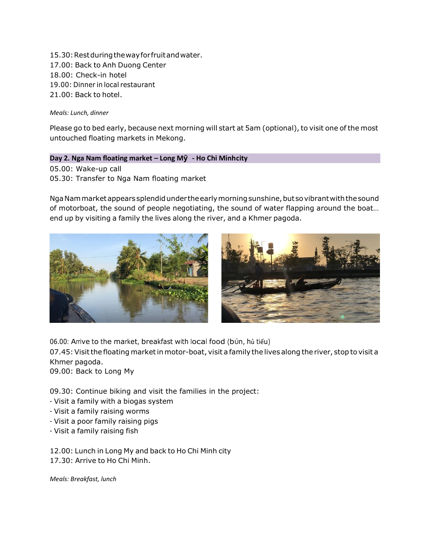15.30: Rest during the way for fruit and water. 17.00: Back to Anh Duong Center 18.00: Check-in hotel 19.00: Dinner in local restaurant 21.00: Back to hotel.

### *Meals: Lunch, dinner*

Please go to bed early, because next morning will start at 5am (optional), to visit one of the most untouched floating markets in Mekong.

### **Day 2. Nga Nam floating market – Long Mỹ - Ho Chi Minhcity**

05.00: Wake-up call 05.30: Transfer to Nga Nam floating market

Nga Nam market appears splendid under the early morning sunshine, but so vibrant with the sound of motorboat, the sound of people negotiating, the sound of water flapping around the boat… end up by visiting a family the lives along the river, and a Khmer pagoda.



06.00: Arrive to the market, breakfast with local food (bún, hủ tiếu)

07.45: Visit the floating market in motor-boat, visit a family the lives along the river, stop to visit a Khmer pagoda.

09.00: Back to Long My

09.30: Continue biking and visit the families in the project:

- Visit a family with a biogas system
- Visit a family raising worms
- Visit a poor family raising pigs
- Visit a family raising fish

12.00: Lunch in Long My and back to Ho Chi Minh city 17.30: Arrive to Ho Chi Minh.

*Meals: Breakfast, lunch*